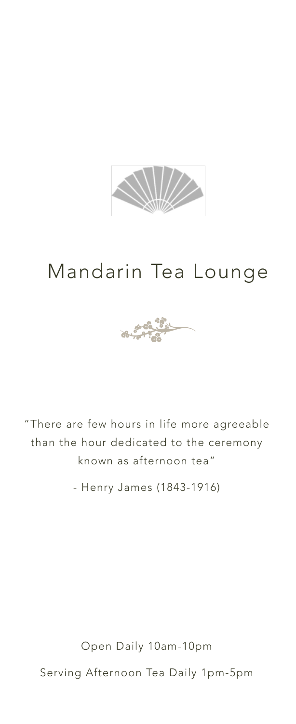

# Mandarin Tea Lounge



"There are few hours in life more agreeable than the hour dedicated to the ceremony known as afternoon tea"

- Henry James (1843-1916)

Open Daily 10am-10pm

Serving Afternoon Tea Daily 1pm-5pm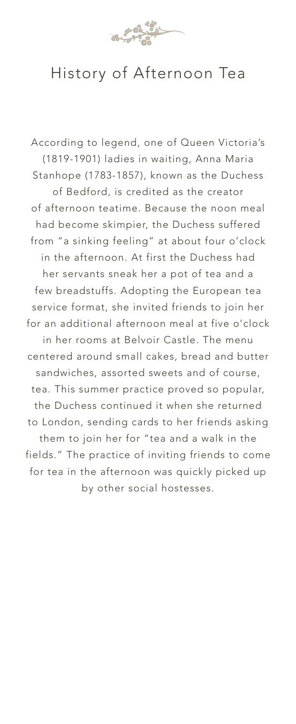

## History of Afternoon Tea

According to legend, one of Queen Victoria's (1819-1901) ladies in waiting, Anna Maria Stanhope (1783-1857), known as the Duchess of Bedford, is credited as the creator of afternoon teatime. Because the noon meal had become skimpier, the Duchess suffered from "a sinking feeling" at about four o'clock in the afternoon. At first the Duchess had her servants sneak her a pot of tea and a few breadstuffs. Adopting the European tea service format, she invited friends to join her for an additional afternoon meal at five o'clock in her rooms at Belvoir Castle. The menu centered around small cakes, bread and butter sandwiches, assorted sweets and of course, tea. This summer practice proved so popular, the Duchess continued it when she returned to London, sending cards to her friends asking them to join her for "tea and a walk in the fields." The practice of inviting friends to come for tea in the afternoon was quickly picked up by other social hostesses.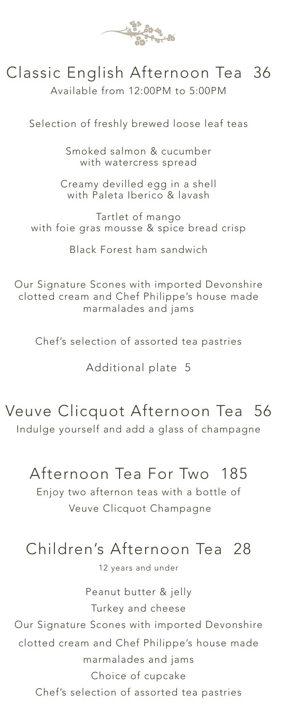

## Classic English Afternoon Tea 36

Available from 12:00PM to 5:00PM

Selection of freshly brewed loose leaf teas

Smoked salmon & cucumber with watercress spread

Creamy devilled egg in a shell with Paleta Iberico & lavash

Tartlet of mango with foie gras mousse & spice bread crisp

Black Forest ham sandwich

Our Signature Scones with imported Devonshire clotted cream and Chef Philippe's house made marmalades and jams

Chef's selection of assorted tea pastries

Additional plate 5

Veuve Clicquot Afternoon Tea 56 Indulge yourself and add a glass of champagne

### Afternoon Tea For Two 185

Enjoy two afternon teas with a bottle of Veuve Clicquot Champagne

## Children's Afternoon Tea 28

12 years and under

Peanut butter & jelly Turkey and cheese Our Signature Scones with imported Devonshire clotted cream and Chef Philippe's house made marmalades and jams Choice of cupcake Chef's selection of assorted tea pastries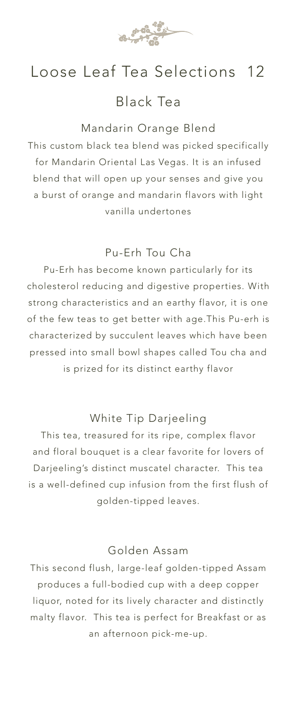

### Loose Leaf Tea Selections 12

### Black Tea

#### Mandarin Orange Blend

This custom black tea blend was picked specifically for Mandarin Oriental Las Vegas. It is an infused blend that will open up your senses and give you a burst of orange and mandarin flavors with light vanilla undertones

#### Pu-Erh Tou Cha

Pu-Erh has become known particularly for its cholesterol reducing and digestive properties. With strong characteristics and an earthy flavor, it is one of the few teas to get better with age.This Pu-erh is characterized by succulent leaves which have been pressed into small bowl shapes called Tou cha and is prized for its distinct earthy flavor

#### White Tip Darjeeling

This tea, treasured for its ripe, complex flavor and floral bouquet is a clear favorite for lovers of Darjeeling's distinct muscatel character. This tea is a well-defined cup infusion from the first flush of golden-tipped leaves.

#### Golden Assam

This second flush, large-leaf golden-tipped Assam produces a full-bodied cup with a deep copper liquor, noted for its lively character and distinctly malty flavor. This tea is perfect for Breakfast or as an afternoon pick-me-up.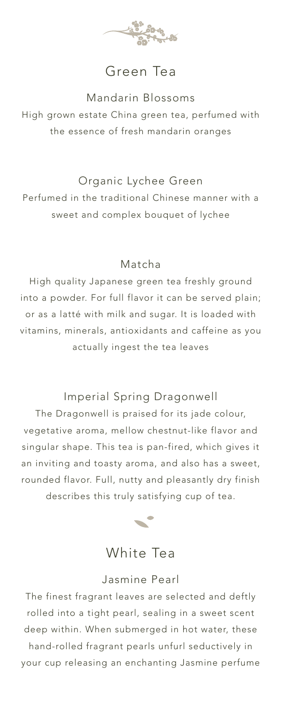

### Green Tea

#### Mandarin Blossoms

High grown estate China green tea, perfumed with the essence of fresh mandarin oranges

#### Organic Lychee Green

Perfumed in the traditional Chinese manner with a sweet and complex bouquet of lychee

#### Matcha

High quality Japanese green tea freshly ground into a powder. For full flavor it can be served plain; or as a latté with milk and sugar. It is loaded with vitamins, minerals, antioxidants and caffeine as you actually ingest the tea leaves

#### Imperial Spring Dragonwell

The Dragonwell is praised for its jade colour, vegetative aroma, mellow chestnut-like flavor and singular shape. This tea is pan-fired, which gives it an inviting and toasty aroma, and also has a sweet, rounded flavor. Full, nutty and pleasantly dry finish describes this truly satisfying cup of tea.



### White Tea

#### Jasmine Pearl

The finest fragrant leaves are selected and deftly rolled into a tight pearl, sealing in a sweet scent deep within. When submerged in hot water, these hand-rolled fragrant pearls unfurl seductively in your cup releasing an enchanting Jasmine perfume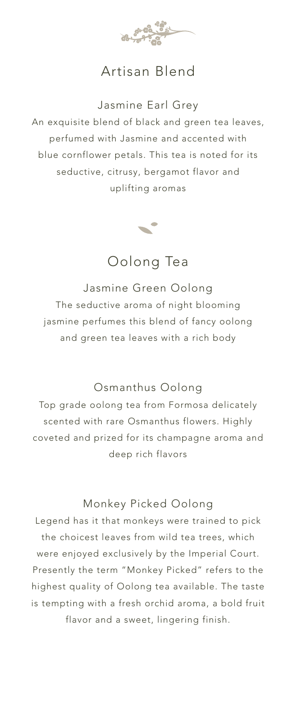

### Artisan Blend

Jasmine Earl Grey An exquisite blend of black and green tea leaves, perfumed with Jasmine and accented with blue cornflower petals. This tea is noted for its seductive, citrusy, bergamot flavor and uplifting aromas



Oolong Tea

Jasmine Green Oolong The seductive aroma of night blooming jasmine perfumes this blend of fancy oolong and green tea leaves with a rich body

#### Osmanthus Oolong

Top grade oolong tea from Formosa delicately scented with rare Osmanthus flowers. Highly coveted and prized for its champagne aroma and deep rich flavors

#### Monkey Picked Oolong

Legend has it that monkeys were trained to pick the choicest leaves from wild tea trees, which were enjoyed exclusively by the Imperial Court. Presently the term "Monkey Picked" refers to the highest quality of Oolong tea available. The taste is tempting with a fresh orchid aroma, a bold fruit flavor and a sweet, lingering finish.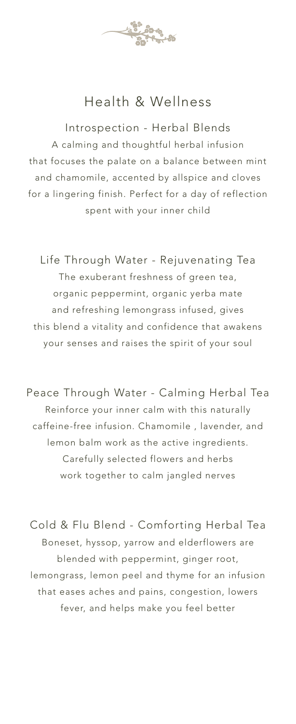

### Health & Wellness

Introspection - Herbal Blends A calming and thoughtful herbal infusion that focuses the palate on a balance between mint and chamomile, accented by allspice and cloves for a lingering finish. Perfect for a day of reflection spent with your inner child

Life Through Water - Rejuvenating Tea The exuberant freshness of green tea, organic peppermint, organic yerba mate and refreshing lemongrass infused, gives this blend a vitality and confidence that awakens your senses and raises the spirit of your soul

Peace Through Water - Calming Herbal Tea Reinforce your inner calm with this naturally caffeine-free infusion. Chamomile , lavender, and lemon balm work as the active ingredients. Carefully selected flowers and herbs work together to calm jangled nerves

Cold & Flu Blend - Comforting Herbal Tea Boneset, hyssop, yarrow and elderflowers are blended with peppermint, ginger root, lemongrass, lemon peel and thyme for an infusion that eases aches and pains, congestion, lowers fever, and helps make you feel better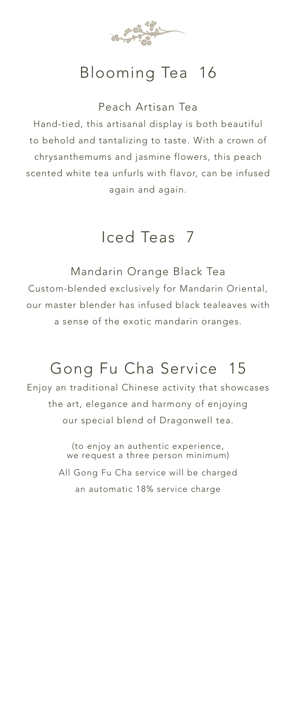

## Blooming Tea 16

Peach Artisan Tea

Hand-tied, this artisanal display is both beautiful to behold and tantalizing to taste. With a crown of chrysanthemums and jasmine flowers, this peach scented white tea unfurls with flavor, can be infused again and again.

Iced Teas 7

Mandarin Orange Black Tea Custom-blended exclusively for Mandarin Oriental, our master blender has infused black tealeaves with a sense of the exotic mandarin oranges.

## Gong Fu Cha Service 15

Enjoy an traditional Chinese activity that showcases the art, elegance and harmony of enjoying our special blend of Dragonwell tea.

> (to enjoy an authentic experience, we request a three person minimum) All Gong Fu Cha service will be charged an automatic 18% service charge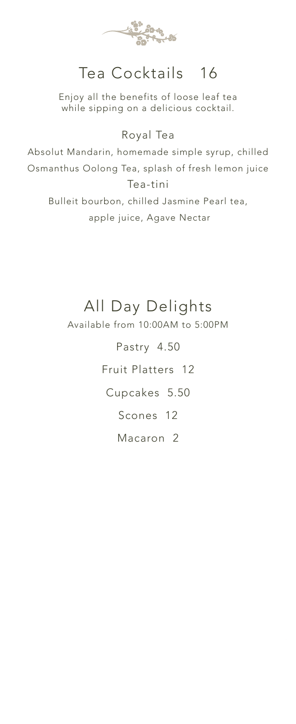

## Tea Cocktails 16

Enjoy all the benefits of loose leaf tea while sipping on a delicious cocktail.

#### Royal Tea

Absolut Mandarin, homemade simple syrup, chilled Osmanthus Oolong Tea, splash of fresh lemon juice Tea-tini Bulleit bourbon, chilled Jasmine Pearl tea, apple juice, Agave Nectar

## All Day Delights

Available from 10:00AM to 5:00PM

Pastry 4.50 Fruit Platters 12 Cupcakes 5.50 Scones 12 Macaron 2